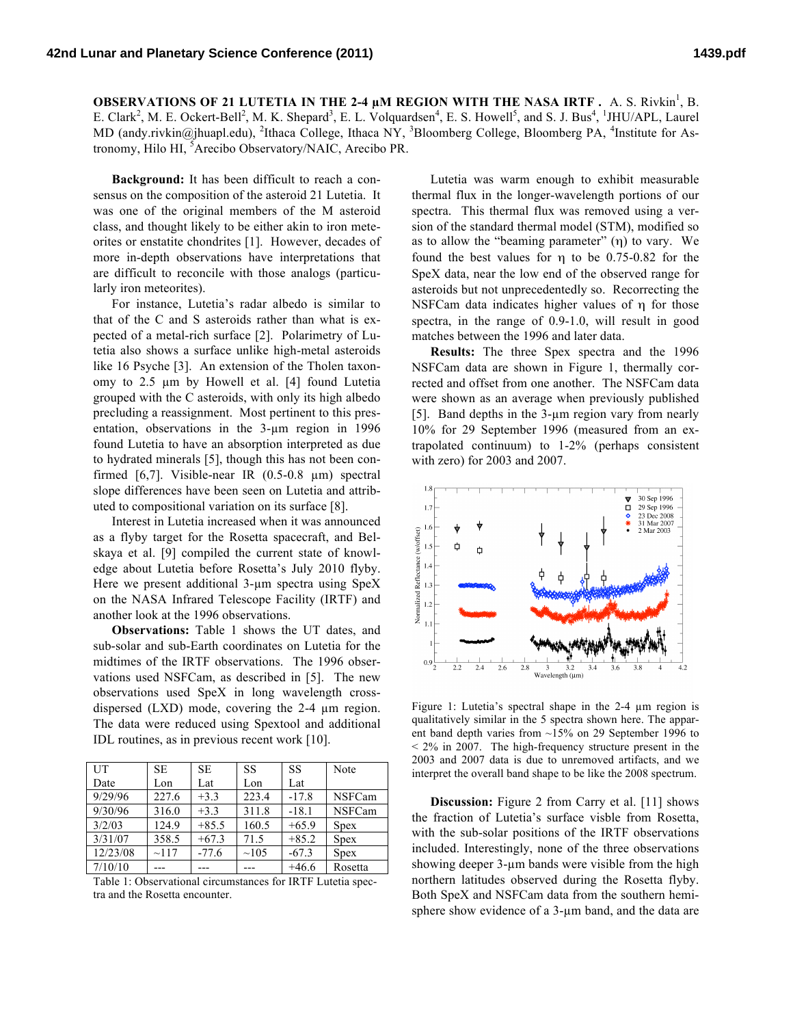**OBSERVATIONS OF 21 LUTETIA IN THE 2-4 µM REGION WITH THE NASA IRTF.** A. S. Rivkin<sup>1</sup>, B. E. Clark<sup>2</sup>, M. E. Ockert-Bell<sup>2</sup>, M. K. Shepard<sup>3</sup>, E. L. Volquardsen<sup>4</sup>, E. S. Howell<sup>5</sup>, and S. J. Bus<sup>4</sup>, <sup>1</sup>JHU/APL, Laurel MD (andy.rivkin@jhuapl.edu), <sup>2</sup>Ithaca College, Ithaca NY, <sup>3</sup>Bloomberg College, Bloomberg PA, <sup>4</sup>Institute for Astronomy, Hilo HI, Arecibo Observatory/NAIC, Arecibo PR.

**Background:** It has been difficult to reach a consensus on the composition of the asteroid 21 Lutetia. It was one of the original members of the M asteroid class, and thought likely to be either akin to iron meteorites or enstatite chondrites [1]. However, decades of more in-depth observations have interpretations that are difficult to reconcile with those analogs (particularly iron meteorites).

For instance, Lutetia's radar albedo is similar to that of the C and S asteroids rather than what is expected of a metal-rich surface [2]. Polarimetry of Lutetia also shows a surface unlike high-metal asteroids like 16 Psyche [3]. An extension of the Tholen taxonomy to 2.5 µm by Howell et al. [4] found Lutetia grouped with the C asteroids, with only its high albedo precluding a reassignment. Most pertinent to this presentation, observations in the 3-µm region in 1996 found Lutetia to have an absorption interpreted as due to hydrated minerals [5], though this has not been confirmed [6,7]. Visible-near IR (0.5-0.8 µm) spectral slope differences have been seen on Lutetia and attributed to compositional variation on its surface [8].

Interest in Lutetia increased when it was announced as a flyby target for the Rosetta spacecraft, and Belskaya et al. [9] compiled the current state of knowledge about Lutetia before Rosetta's July 2010 flyby. Here we present additional 3-um spectra using SpeX on the NASA Infrared Telescope Facility (IRTF) and another look at the 1996 observations.

**Observations:** Table 1 shows the UT dates, and sub-solar and sub-Earth coordinates on Lutetia for the midtimes of the IRTF observations. The 1996 observations used NSFCam, as described in [5]. The new observations used SpeX in long wavelength crossdispersed (LXD) mode, covering the 2-4 µm region. The data were reduced using Spextool and additional IDL routines, as in previous recent work [10].

| UT       | SE.   | <b>SE</b> | SS    | SS      | Note          |
|----------|-------|-----------|-------|---------|---------------|
| Date     | Lon   | Lat       | Lon   | Lat     |               |
| 9/29/96  | 227.6 | $+3.3$    | 223.4 | $-17.8$ | NSFCam        |
| 9/30/96  | 316.0 | $+3.3$    | 311.8 | $-18.1$ | <b>NSFCam</b> |
| 3/2/03   | 124.9 | $+85.5$   | 160.5 | $+65.9$ | <b>Spex</b>   |
| 3/31/07  | 358.5 | $+67.3$   | 71.5  | $+85.2$ | <b>Spex</b>   |
| 12/23/08 | ~117  | $-77.6$   | ~105  | $-67.3$ | <b>Spex</b>   |
| 7/10/10  | ---   |           |       | $+46.6$ | Rosetta       |

Table 1: Observational circumstances for IRTF Lutetia spectra and the Rosetta encounter.

Lutetia was warm enough to exhibit measurable thermal flux in the longer-wavelength portions of our spectra. This thermal flux was removed using a version of the standard thermal model (STM), modified so as to allow the "beaming parameter"  $(\eta)$  to vary. We found the best values for η to be 0.75-0.82 for the SpeX data, near the low end of the observed range for asteroids but not unprecedentedly so. Recorrecting the NSFCam data indicates higher values of η for those spectra, in the range of 0.9-1.0, will result in good matches between the 1996 and later data.

**Results:** The three Spex spectra and the 1996 NSFCam data are shown in Figure 1, thermally corrected and offset from one another. The NSFCam data were shown as an average when previously published [5]. Band depths in the 3-µm region vary from nearly 10% for 29 September 1996 (measured from an extrapolated continuum) to 1-2% (perhaps consistent with zero) for 2003 and 2007.



Figure 1: Lutetia's spectral shape in the 2-4 µm region is qualitatively similar in the 5 spectra shown here. The apparent band depth varies from ~15% on 29 September 1996 to < 2% in 2007. The high-frequency structure present in the 2003 and 2007 data is due to unremoved artifacts, and we interpret the overall band shape to be like the 2008 spectrum.

**Discussion:** Figure 2 from Carry et al. [11] shows the fraction of Lutetia's surface visble from Rosetta, with the sub-solar positions of the IRTF observations included. Interestingly, none of the three observations showing deeper 3-µm bands were visible from the high northern latitudes observed during the Rosetta flyby. Both SpeX and NSFCam data from the southern hemisphere show evidence of a 3-um band, and the data are